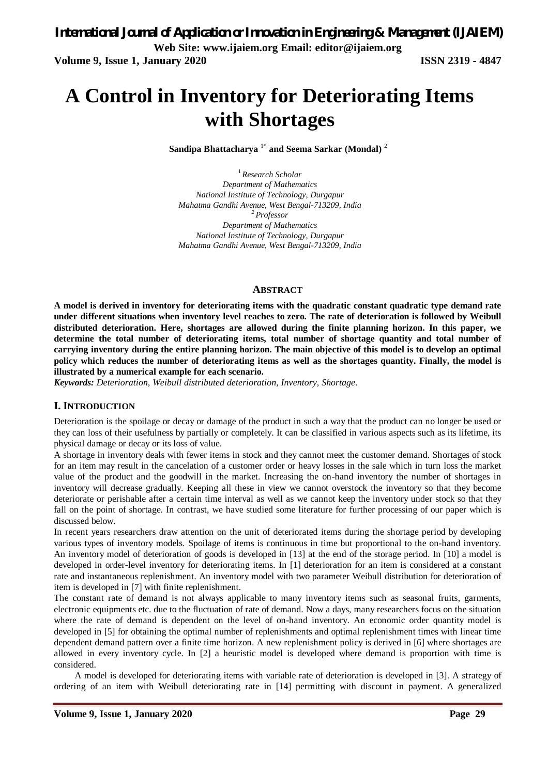# **A Control in Inventory for Deteriorating Items with Shortages**

**Sandipa Bhattacharya** 1\* **and Seema Sarkar (Mondal)** <sup>2</sup>

<sup>1</sup>*Research Scholar Department of Mathematics National Institute of Technology, Durgapur Mahatma Gandhi Avenue, West Bengal-713209, India <sup>2</sup>Professor Department of Mathematics National Institute of Technology, Durgapur Mahatma Gandhi Avenue, West Bengal-713209, India*

### **ABSTRACT**

**A model is derived in inventory for deteriorating items with the quadratic constant quadratic type demand rate under different situations when inventory level reaches to zero. The rate of deterioration is followed by Weibull distributed deterioration. Here, shortages are allowed during the finite planning horizon. In this paper, we determine the total number of deteriorating items, total number of shortage quantity and total number of carrying inventory during the entire planning horizon. The main objective of this model is to develop an optimal policy which reduces the number of deteriorating items as well as the shortages quantity. Finally, the model is illustrated by a numerical example for each scenario.**

*Keywords: Deterioration, Weibull distributed deterioration, Inventory, Shortage.*

#### **I. INTRODUCTION**

Deterioration is the spoilage or decay or damage of the product in such a way that the product can no longer be used or they can loss of their usefulness by partially or completely. It can be classified in various aspects such as its lifetime, its physical damage or decay or its loss of value.

A shortage in inventory deals with fewer items in stock and they cannot meet the customer demand. Shortages of stock for an item may result in the cancelation of a customer order or heavy losses in the sale which in turn loss the market value of the product and the goodwill in the market. Increasing the on-hand inventory the number of shortages in inventory will decrease gradually. Keeping all these in view we cannot overstock the inventory so that they become deteriorate or perishable after a certain time interval as well as we cannot keep the inventory under stock so that they fall on the point of shortage. In contrast, we have studied some literature for further processing of our paper which is discussed below.

In recent years researchers draw attention on the unit of deteriorated items during the shortage period by developing various types of inventory models. Spoilage of items is continuous in time but proportional to the on-hand inventory. An inventory model of deterioration of goods is developed in [13] at the end of the storage period. In [10] a model is developed in order-level inventory for deteriorating items. In [1] deterioration for an item is considered at a constant rate and instantaneous replenishment. An inventory model with two parameter Weibull distribution for deterioration of item is developed in [7] with finite replenishment.

The constant rate of demand is not always applicable to many inventory items such as seasonal fruits, garments, electronic equipments etc. due to the fluctuation of rate of demand. Now a days, many researchers focus on the situation where the rate of demand is dependent on the level of on-hand inventory. An economic order quantity model is developed in [5] for obtaining the optimal number of replenishments and optimal replenishment times with linear time dependent demand pattern over a finite time horizon. A new replenishment policy is derived in [6] where shortages are allowed in every inventory cycle. In [2] a heuristic model is developed where demand is proportion with time is considered.

A model is developed for deteriorating items with variable rate of deterioration is developed in [3]. A strategy of ordering of an item with Weibull deteriorating rate in [14] permitting with discount in payment. A generalized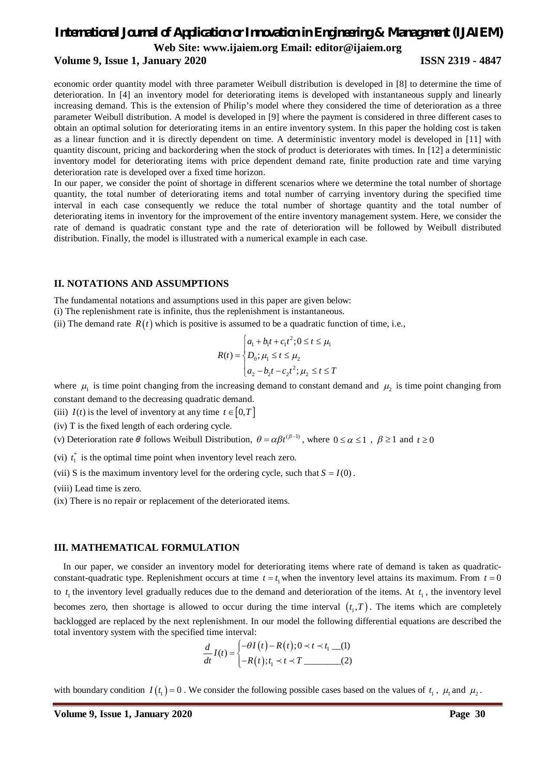# *International Journal of Application or Innovation in Engineering & Management (IJAIEM)*

**Web Site: [www.ijaiem.org](http://www.ijaiem.org) Email: [editor@ijaiem.org](mailto:editor@ijaiem.org)**

#### **Volume 9, Issue 1, January 2020 ISSN 2319 - 4847**

economic order quantity model with three parameter Weibull distribution is developed in [8] to determine the time of deterioration. In [4] an inventory model for deteriorating items is developed with instantaneous supply and linearly increasing demand. This is the extension of Philip's model where they considered the time of deterioration as a three parameter Weibull distribution. A model is developed in [9] where the payment is considered in three different cases to obtain an optimal solution for deteriorating items in an entire inventory system. In this paper the holding cost is taken as a linear function and it is directly dependent on time. A deterministic inventory model is developed in [11] with quantity discount, pricing and backordering when the stock of product is deteriorates with times. In [12] a deterministic inventory model for deteriorating items with price dependent demand rate, finite production rate and time varying deterioration rate is developed over a fixed time horizon.

In our paper, we consider the point of shortage in different scenarios where we determine the total number of shortage quantity, the total number of deteriorating items and total number of carrying inventory during the specified time interval in each case consequently we reduce the total number of shortage quantity and the total number of deteriorating items in inventory for the improvement of the entire inventory management system. Here, we consider the rate of demand is quadratic constant type and the rate of deterioration will be followed by Weibull distributed distribution. Finally, the model is illustrated with a numerical example in each case.

#### **II. NOTATIONS AND ASSUMPTIONS**

The fundamental notations and assumptions used in this paper are given below:

(i) The replenishment rate is infinite, thus the replenishment is instantaneous.

(ii) The demand rate  $R(t)$  which is positive is assumed to be a quadratic function of time, i.e.,

$$
R(t) = \begin{cases} a_1 + b_1 t + c_1 t^2; 0 \le t \le \mu_1 \\ D_0; \mu_1 \le t \le \mu_2 \\ a_2 - b_2 t - c_2 t^2; \mu_2 \le t \le T \end{cases}
$$

where  $\mu_1$  is time point changing from the increasing demand to constant demand and  $\mu_2$  is time point changing from constant demand to the decreasing quadratic demand.

(iii)  $I(t)$  is the level of inventory at any time  $t \in [0, T]$ 

(iv) T is the fixed length of each ordering cycle.

(v) Deterioration rate  $\theta$  follows Weibull Distribution,  $\theta = \alpha \beta t^{(\beta-1)}$ , where  $0 \le \alpha \le 1$ ,  $\beta \ge 1$  and  $t \ge 0$ 

(vi)  $t_1^*$  is the optimal time point when inventory level reach zero.

(vii) S is the maximum inventory level for the ordering cycle, such that  $S = I(0)$ .

(viii) Lead time is zero.

(ix) There is no repair or replacement of the deteriorated items.

#### **III. MATHEMATICAL FORMULATION**

In our paper, we consider an inventory model for deteriorating items where rate of demand is taken as quadraticconstant-quadratic type. Replenishment occurs at time  $t = t_1$  when the inventory level attains its maximum. From  $t = 0$ to  $t_1$  the inventory level gradually reduces due to the demand and deterioration of the items. At  $t_1$ , the inventory level becomes zero, then shortage is allowed to occur during the time interval  $(t_1, T)$ . The items which are completely backlogged are replaced by the next replenishment. In our model the following differential equations are described the total inventory system with the specified time interval:

$$
\frac{d}{dt}I(t) = \begin{cases}\n-\theta I(t) - R(t); 0 \prec t \prec t_1 \quad \text{(1)} \\
-R(t); t_1 \prec t \prec T \quad \text{(2)}\n\end{cases}
$$

with boundary condition  $I(t_1) = 0$ . We consider the following possible cases based on the values of  $t_1$ ,  $\mu_1$  and  $\mu_2$ .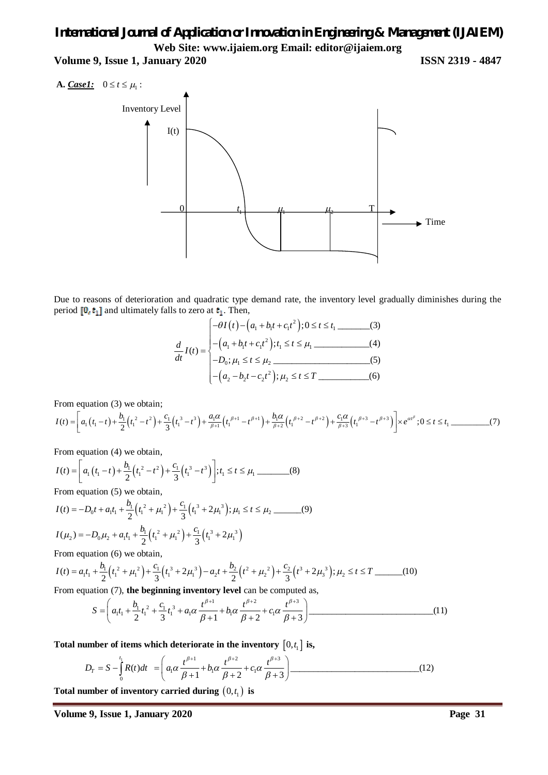**Volume 9, Issue 1, January 2020 ISSN 2319 - 4847**





Due to reasons of deterioration and quadratic type demand rate, the inventory level gradually diminishes during the period  $[0, t_1]$  and ultimately falls to zero at  $t_1$ . Then,

$$
\frac{d}{dt}I(t) = \begin{cases}\n-\theta I(t) - (a_1 + b_1 t + c_1 t^2); 0 \le t \le t_1 \quad \text{(3)} \\
-(a_1 + b_1 t + c_1 t^2); t_1 \le t \le \mu_1 \quad \text{(4)} \\
-D_0; \mu_1 \le t \le \mu_2 \quad \text{(5)} \\
-(a_2 - b_2 t - c_2 t^2); \mu_2 \le t \le T \quad \text{(6)}\n\end{cases}
$$

From equation (3) we obtain;

$$
I(t) = \left[a_1(t_1 - t) + \frac{b_1}{2}(t_1^2 - t^2) + \frac{c_1}{3}(t_1^3 - t^3) + \frac{a_1\alpha}{\beta + 1}(t_1^{\beta + 1} - t^{\beta + 1}) + \frac{b_1\alpha}{\beta + 2}(t_1^{\beta + 2} - t^{\beta + 2}) + \frac{c_1\alpha}{\beta + 3}(t_1^{\beta + 3} - t^{\beta + 3})\right] \times e^{\alpha t^{\beta}}; 0 \le t \le t_1
$$
 (7)

From equation (4) we obtain,

$$
I(t) = \left[ a_1 \left( t_1 - t \right) + \frac{b_1}{2} \left( t_1^2 - t^2 \right) + \frac{c_1}{3} \left( t_1^3 - t^3 \right) \right]; t_1 \le t \le \mu_1
$$
 (8)

From equation (5) we obtain,

$$
I(t) = -D_0 t + a_1 t_1 + \frac{b_1}{2} \left(t_1^2 + \mu_1^2\right) + \frac{c_1}{3} \left(t_1^3 + 2\mu_1^3\right); \mu_1 \le t \le \mu_2
$$
 (9)  

$$
I(\mu_2) = -D_0 \mu_2 + a_1 t_1 + \frac{b_1}{2} \left(t_1^2 + \mu_1^2\right) + \frac{c_1}{3} \left(t_1^3 + 2\mu_1^3\right)
$$

From equation (6) we obtain,

$$
I(t) = a_1 t_1 + \frac{b_1}{2} \left( t_1^2 + \mu_1^2 \right) + \frac{c_1}{3} \left( t_1^3 + 2\mu_1^3 \right) - a_2 t + \frac{b_2}{2} \left( t^2 + \mu_2^2 \right) + \frac{c_2}{3} \left( t^3 + 2\mu_3^3 \right); \mu_2 \le t \le T
$$
 (10)

From equation (7), **the beginning inventory level** can be computed as,

$$
S = \left( a_1 t_1 + \frac{b_1}{2} t_1^2 + \frac{c_1}{3} t_1^3 + a_1 \alpha \frac{t^{\beta+1}}{\beta+1} + b_1 \alpha \frac{t^{\beta+2}}{\beta+2} + c_1 \alpha \frac{t^{\beta+3}}{\beta+3} \right) \tag{11}
$$

Total number of items which deteriorate in the inventory  $\begin{bmatrix} 0, t_1 \end{bmatrix}$  is,

$$
D_T = S - \int_0^{t_1} R(t)dt = \left( a_1 \alpha \frac{t^{\beta+1}}{\beta+1} + b_1 \alpha \frac{t^{\beta+2}}{\beta+2} + c_1 \alpha \frac{t^{\beta+3}}{\beta+3} \right)
$$
(12)

Total number of inventory carried during  $\left(0,t_1\right)$  is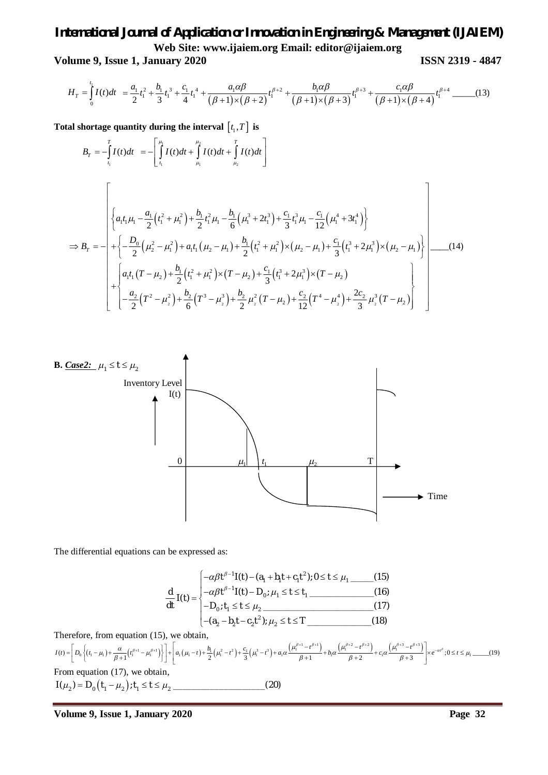**Volume 9, Issue 1, January 2020 ISSN 2319 - 4847**

$$
H_{T} = \int_{0}^{t_{1}} I(t)dt = \frac{a_{1}}{2}t_{1}^{2} + \frac{b_{1}}{3}t_{1}^{3} + \frac{c_{1}}{4}t_{1}^{4} + \frac{a_{1}\alpha\beta}{(\beta+1)\times(\beta+2)}t_{1}^{\beta+2} + \frac{b_{1}\alpha\beta}{(\beta+1)\times(\beta+3)}t_{1}^{\beta+3} + \frac{c_{1}\alpha\beta}{(\beta+1)\times(\beta+4)}t_{1}^{\beta+4}
$$
(13)

Total shortage quantity during the interval  $\bigl[t_1, T\bigr]$  is

$$
B_{T} = -\int_{t_{1}}^{T} I(t)dt = -\left[\int_{t_{1}}^{\mu_{1}} I(t)dt + \int_{\mu_{1}}^{u_{2}} I(t)dt\right]
$$
\n
$$
\Rightarrow B_{T} = -\left[\left\{a_{1}t_{1}\mu_{1} - \frac{a_{1}}{2}\left(t_{1}^{2} + \mu_{1}^{2}\right) + \frac{b_{1}}{2}t_{1}^{2}\mu_{1} - \frac{b_{1}}{6}\left(\mu_{1}^{3} + 2t_{1}^{3}\right) + \frac{c_{1}}{3}t_{1}^{3}\mu_{1} - \frac{c_{1}}{12}\left(\mu_{1}^{4} + 3t_{1}^{4}\right)\right\}
$$
\n
$$
\Rightarrow B_{T} = -\left[\left.\left\{-\frac{D_{0}}{2}\left(\mu_{2}^{2} - \mu_{1}^{2}\right) + a_{1}t_{1}\left(\mu_{2} - \mu_{1}\right) + \frac{b_{1}}{2}\left(t_{1}^{2} + \mu_{1}^{2}\right) \times \left(\mu_{2} - \mu_{1}\right) + \frac{c_{1}}{3}\left(t_{1}^{3} + 2\mu_{1}^{3}\right) \times \left(\mu_{2} - \mu_{1}\right)\right\}\right] \tag{14}
$$
\n
$$
+\left\{a_{1}t_{1}\left(T - \mu_{2}\right) + \frac{b_{1}}{2}\left(t_{1}^{2} + \mu_{1}^{2}\right) \times \left(T - \mu_{2}\right) + \frac{c_{1}}{3}\left(t_{1}^{3} + 2\mu_{1}^{3}\right) \times \left(T - \mu_{2}\right) + \left[\frac{a_{2}}{2}\left(T^{2} - \mu_{2}^{2}\right) + \frac{b_{2}}{6}\left(T^{3} - \mu_{2}^{3}\right) + \frac{b_{2}}{2}\mu_{2}^{2}\left(T - \mu_{2}\right) + \frac{c_{2}}{12}\left(T^{4} - \mu_{2}^{4}\right) + \frac{2c_{2}}{3}\mu_{2}^{3}\left(T - \mu_{2}\right)\right\}\right]
$$



The differential equations can be expressed as:

$$
\frac{d}{dt} I(t) = \begin{cases}\n-\alpha \beta t^{\beta - 1} I(t) - (a_1 + b_1 t + c_1 t^2); 0 \le t \le \mu_1 \quad \text{(15)} \\
-\alpha \beta t^{\beta - 1} I(t) - D_0; \mu_1 \le t \le t_1 \quad \text{(16)} \\
-D_0; t_1 \le t \le \mu_2 \quad \text{(17)} \\
-(a_2 - b_2 t - c_2 t^2); \mu_2 \le t \le T \quad \text{(18)}\n\end{cases}
$$

Therefore, from equation (15), we obtain,

$$
I(t) = \left[ D_0 \left\{ (t_1 - \mu_1) + \frac{\alpha}{\beta + 1} (t_1^{\beta + 1} - \mu_1^{\beta + 1}) \right\} \right] + \left[ a_1 (\mu_1 - t) + \frac{b_1}{2} (\mu_1^2 - t^2) + \frac{c_1}{3} (\mu_1^3 - t^3) + a_1 \alpha \frac{\left( \mu_1^{\beta + 1} - t^{\beta + 1} \right)}{\beta + 1} + b_1 \alpha \frac{\left( \mu_1^{\beta + 2} - t^{\beta + 2} \right)}{\beta + 2} + c_1 \alpha \frac{\left( \mu_1^{\beta + 3} - t^{\beta + 3} \right)}{\beta + 3} \right] \times e^{-\alpha t^{\beta}}; 0 \le t \le \mu_1
$$
 (19)  
From equation (17), we obtain,  

$$
I(\mu_2) = D_0 \left( t_1 - \mu_2 \right); t_1 \le t \le \mu_2
$$
 (20)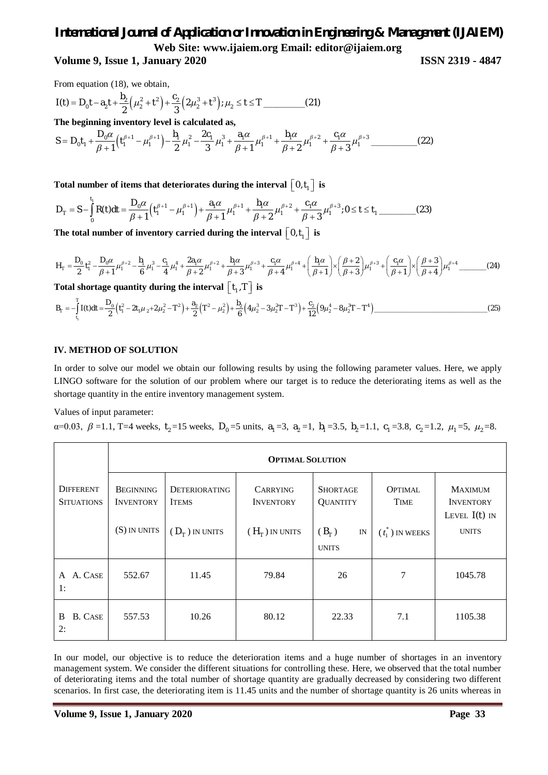### **Volume 9, Issue 1, January 2020 ISSN 2319 - 4847**

From equation (18), we obtain,

$$
I(t) = D_0 t - a_2 t + \frac{b_2}{2} (\mu_2^2 + t^2) + \frac{c_2}{3} (2\mu_2^3 + t^3); \mu_2 \le t \le T
$$
 (21)

**The beginning inventory level is calculated as,**

 $\mu_0^0 t_1 + \frac{\mu_0 \alpha}{\beta + 1} \left( t_1^{\beta + 1} - \mu_1^{\beta + 1} \right) - \frac{\mu_1}{2} \mu_1^2 - \frac{2 \mu_1}{3} \mu_1^3 + \frac{\mu_1 \alpha}{\beta + 1} \mu_1^{\beta + 1} + \frac{\mu_1 \alpha}{\beta + 2} \mu_1^{\beta + 2} + \frac{\mu_1 \alpha}{\beta + 3} \mu_1^{\beta + 3}$ 2 \_\_\_\_\_\_\_\_\_\_(22) 1 2 3 1 2 3 *<sup>D</sup> b c a b c S D t t* 

Total number of items that deteriorates during the interval  $\left[\begin{smallmatrix} 0,t_1 \end{smallmatrix}\right]$  is

$$
D_{\tau} = S - \int_{0}^{t_1} R(t)dt = \frac{D_0 \alpha}{\beta + 1} \left( t_1^{\beta + 1} - \mu_1^{\beta + 1} \right) + \frac{a_1 \alpha}{\beta + 1} \mu_1^{\beta + 1} + \frac{b_1 \alpha}{\beta + 2} \mu_1^{\beta + 2} + \frac{c_1 \alpha}{\beta + 3} \mu_1^{\beta + 3}; 0 \le t \le t_1
$$
 (23)

The total number of inventory carried during the interval  $\lfloor 0, t_{\mathfrak{t}} \rfloor$  is

$$
H_{T} = \frac{D_{0}}{2} t_{1}^{2} - \frac{D_{0} \alpha}{\beta + 1} \mu_{1}^{\beta + 2} - \frac{b_{1}}{6} \mu_{1}^{3} - \frac{c_{1}}{4} \mu_{1}^{4} + \frac{2a_{1} \alpha}{\beta + 2} \mu_{1}^{\beta + 2} + \frac{b_{1} \alpha}{\beta + 3} \mu_{1}^{\beta + 3} + \frac{c_{1} \alpha}{\beta + 4} \mu_{1}^{\beta + 4} + \left(\frac{b_{1} \alpha}{\beta + 1}\right) \times \left(\frac{\beta + 2}{\beta + 3}\right) \mu_{1}^{\beta + 3} + \left(\frac{c_{1} \alpha}{\beta + 1}\right) \times \left(\frac{\beta + 3}{\beta + 4}\right) \mu_{1}^{\beta + 4} \quad \text{(24)}
$$

Total shortage quantity during the interval  $\lfloor t_1, T \rfloor$  is

$$
B_{\tau} = -\int_{t_1}^{T} I(t)dt = \frac{D_0}{2} \left(t_1^2 - 2t_1\mu_2 + 2\mu_2^2 - T^2\right) + \frac{a_2}{2} \left(T^2 - \mu_2^2\right) + \frac{b_2}{6} \left(4\mu_2^3 - 3\mu_2^2 T - T^3\right) + \frac{c_2}{12} \left(9\mu_2^4 - 8\mu_2^3 T - T^4\right)
$$
 (25)

#### **IV. METHOD OF SOLUTION**

In order to solve our model we obtain our following results by using the following parameter values. Here, we apply LINGO software for the solution of our problem where our target is to reduce the deteriorating items as well as the shortage quantity in the entire inventory management system.

#### Values of input parameter:

 $\alpha$ =0.03,  $\beta$  =1.1, T=4 weeks,  $t_2$ =15 weeks,  $D_0$ =5 units,  $a_1$ =3,  $a_2$ =1,  $b_1$ =3.5,  $b_2$ =1.1,  $c_1$ =3.8,  $c_2$ =1.2,  $\mu_1$ =5,  $\mu_2$ =8.

|                                       | <b>OPTIMAL SOLUTION</b>              |                                      |                                     |                                    |                        |                                                       |
|---------------------------------------|--------------------------------------|--------------------------------------|-------------------------------------|------------------------------------|------------------------|-------------------------------------------------------|
| <b>DIFFERENT</b><br><b>SITUATIONS</b> | <b>BEGINNING</b><br><b>INVENTORY</b> | <b>DETERIORATING</b><br><b>ITEMS</b> | <b>CARRYING</b><br><b>INVENTORY</b> | <b>SHORTAGE</b><br><b>QUANTITY</b> | <b>OPTIMAL</b><br>TIME | <b>MAXIMUM</b><br><b>INVENTORY</b><br>LEVEL $I(t)$ IN |
|                                       | (S) IN UNITS                         | $(D_{\tau})$ in units                | $(H_{\tau})$ in units               | $(B_{T})$<br>IN<br><b>UNITS</b>    | $(t_1^*)$ IN WEEKS     | <b>UNITS</b>                                          |
| A. CASE<br>A<br>1:                    | 552.67                               | 11.45                                | 79.84                               | 26                                 | 7                      | 1045.78                                               |
| <b>B.</b> CASE<br>B<br>2:             | 557.53                               | 10.26                                | 80.12                               | 22.33                              | 7.1                    | 1105.38                                               |

In our model, our objective is to reduce the deterioration items and a huge number of shortages in an inventory management system. We consider the different situations for controlling these. Here, we observed that the total number of deteriorating items and the total number of shortage quantity are gradually decreased by considering two different scenarios. In first case, the deteriorating item is 11.45 units and the number of shortage quantity is 26 units whereas in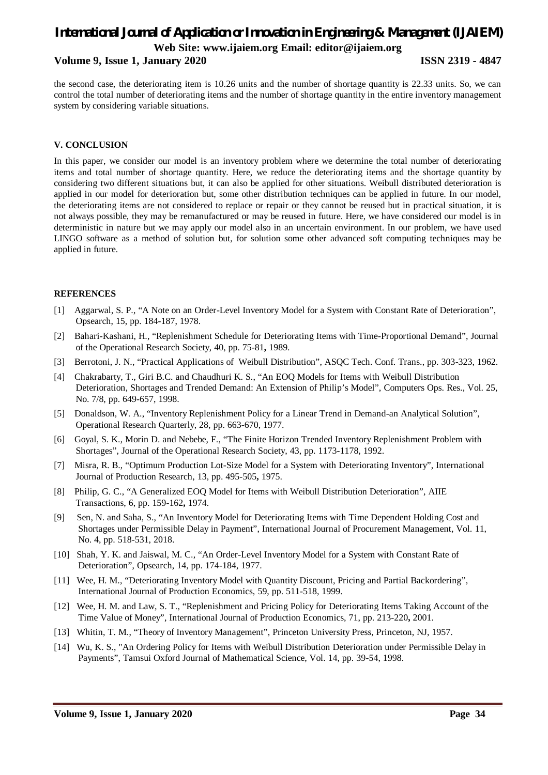#### **Volume 9, Issue 1, January 2020 ISSN 2319 - 4847**

the second case, the deteriorating item is 10.26 units and the number of shortage quantity is 22.33 units. So, we can control the total number of deteriorating items and the number of shortage quantity in the entire inventory management system by considering variable situations.

#### **V. CONCLUSION**

In this paper, we consider our model is an inventory problem where we determine the total number of deteriorating items and total number of shortage quantity. Here, we reduce the deteriorating items and the shortage quantity by considering two different situations but, it can also be applied for other situations. Weibull distributed deterioration is applied in our model for deterioration but, some other distribution techniques can be applied in future. In our model, the deteriorating items are not considered to replace or repair or they cannot be reused but in practical situation, it is not always possible, they may be remanufactured or may be reused in future. Here, we have considered our model is in deterministic in nature but we may apply our model also in an uncertain environment. In our problem, we have used LINGO software as a method of solution but, for solution some other advanced soft computing techniques may be applied in future.

#### **REFERENCES**

- [1] Aggarwal, S. P., "A Note on an Order-Level Inventory Model for a System with Constant Rate of Deterioration", Opsearch, 15, pp. 184-187, 1978.
- [2] Bahari-Kashani, H., "Replenishment Schedule for Deteriorating Items with Time-Proportional Demand", Journal of the Operational Research Society, 40, pp. 75-81**,** 1989.
- [3] Berrotoni, J. N., "Practical Applications of Weibull Distribution", ASQC Tech. Conf. Trans., pp. 303-323, 1962.
- [4] Chakrabarty, T., Giri B.C. and Chaudhuri K. S., "An EOQ Models for Items with Weibull Distribution Deterioration, Shortages and Trended Demand: An Extension of Philip's Model", Computers Ops. Res., Vol. 25, No. 7/8, pp. 649-657, 1998.
- [5] Donaldson, W. A., "Inventory Replenishment Policy for a Linear Trend in Demand-an Analytical Solution", Operational Research Quarterly, 28, pp. 663-670, 1977.
- [6] Goyal, S. K., Morin D. and Nebebe, F., "The Finite Horizon Trended Inventory Replenishment Problem with Shortages", Journal of the Operational Research Society, 43, pp. 1173-1178, 1992.
- [7] Misra, R. B., "Optimum Production Lot-Size Model for a System with Deteriorating Inventory", International Journal of Production Research, 13, pp. 495-505**,** 1975.
- [8] Philip, G. C., "A Generalized EOQ Model for Items with Weibull Distribution Deterioration", AIIE Transactions, 6, pp. 159-162**,** 1974.
- [9] Sen, N. and Saha, S., "An Inventory Model for Deteriorating Items with Time Dependent Holding Cost and Shortages under Permissible Delay in Payment", International Journal of Procurement Management, Vol. 11, No. 4, pp. 518-531, 2018.
- [10] Shah, Y. K. and Jaiswal, M. C., "An Order-Level Inventory Model for a System with Constant Rate of Deterioration", Opsearch, 14, pp. 174-184, 1977.
- [11] Wee, H. M., "Deteriorating Inventory Model with Quantity Discount, Pricing and Partial Backordering", International Journal of Production Economics, 59, pp. 511-518, 1999.
- [12] Wee, H. M. and Law, S. T., "Replenishment and Pricing Policy for Deteriorating Items Taking Account of the Time Value of Money", International Journal of Production Economics, 71, pp. 213-220**,** 2001.
- [13] Whitin, T. M., "Theory of Inventory Management", Princeton University Press, Princeton, NJ, 1957.
- [14] Wu, K. S., "An Ordering Policy for Items with Weibull Distribution Deterioration under Permissible Delay in Payments", Tamsui Oxford Journal of Mathematical Science, Vol. 14, pp. 39-54, 1998.